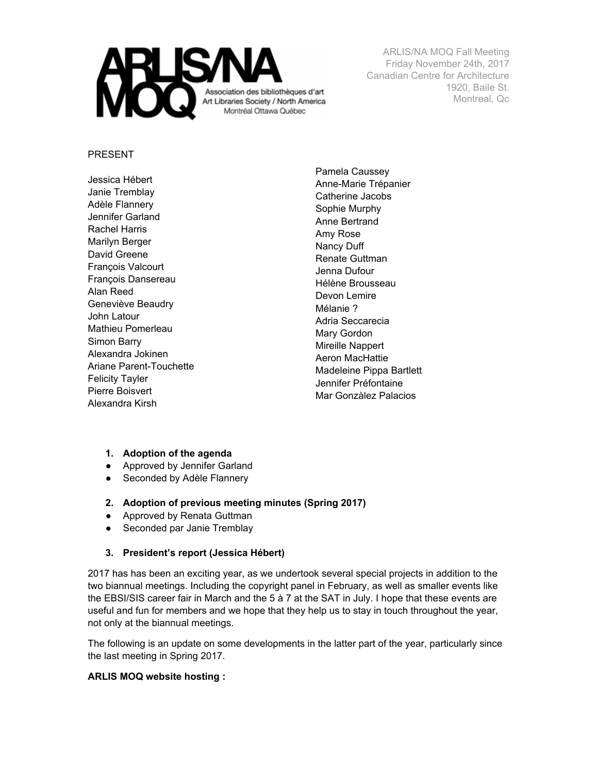

#### PRESENT

Jessica Hébert Janie Tremblay Adèle Flannery Jennifer Garland Rachel Harris Marilyn Berger David Greene François Valcourt François Dansereau Alan Reed Geneviève Beaudry John Latour Mathieu Pomerleau Simon Barry Alexandra Jokinen Ariane Parent-Touchette Felicity Tayler Pierre Boisvert Alexandra Kirsh

Pamela Caussey Anne-Marie Trépanier Catherine Jacobs Sophie Murphy Anne Bertrand Amy Rose Nancy Duff Renate Guttman Jenna Dufour Hélène Brousseau Devon Lemire Mélanie ? Adria Seccarecia Mary Gordon Mireille Nappert Aeron MacHattie Madeleine Pippa Bartlett Jennifer Préfontaine Mar Gonzàlez Palacios

- **1. Adoption of the agenda**
- Approved by Jennifer Garland
- Seconded by Adèle Flannery
- **2. Adoption of previous meeting minutes (Spring 2017)**
- Approved by Renata Guttman
- Seconded par Janie Tremblay

### **3. President's report (Jessica Hébert)**

2017 has has been an exciting year, as we undertook several special projects in addition to the two biannual meetings. Including the copyright panel in February, as well as smaller events like the EBSI/SIS career fair in March and the 5 à 7 at the SAT in July. I hope that these events are useful and fun for members and we hope that they help us to stay in touch throughout the year, not only at the biannual meetings.

The following is an update on some developments in the latter part of the year, particularly since the last meeting in Spring 2017.

### **ARLIS MOQ website hosting :**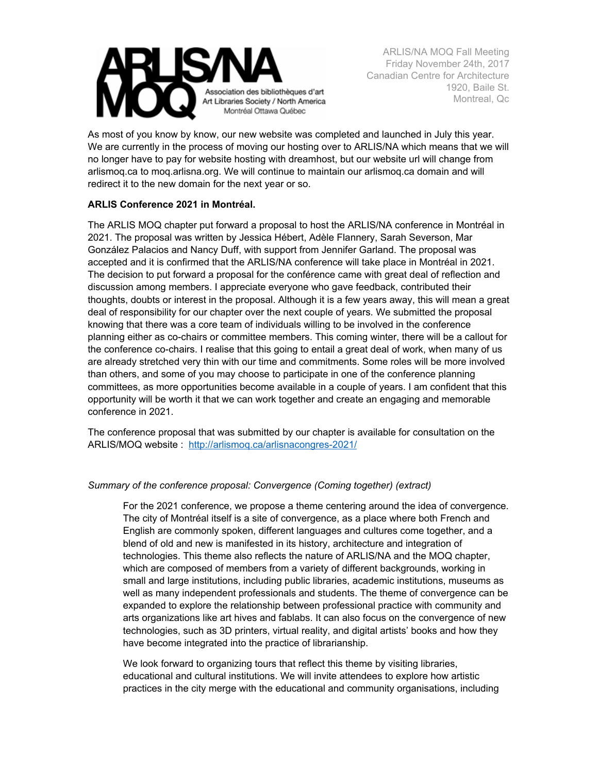

As most of you know by know, our new website was completed and launched in July this year. We are currently in the process of moving our hosting over to ARLIS/NA which means that we will no longer have to pay for website hosting with dreamhost, but our website url will change from arlismoq.ca to moq.arlisna.org. We will continue to maintain our arlismoq.ca domain and will redirect it to the new domain for the next year or so.

### **ARLIS Conference 2021 in Montréal.**

The ARLIS MOQ chapter put forward a proposal to host the ARLIS/NA conference in Montréal in 2021. The proposal was written by Jessica Hébert, Adèle Flannery, Sarah Severson, Mar González Palacios and Nancy Duff, with support from Jennifer Garland. The proposal was accepted and it is confirmed that the ARLIS/NA conference will take place in Montréal in 2021. The decision to put forward a proposal for the conférence came with great deal of reflection and discussion among members. I appreciate everyone who gave feedback, contributed their thoughts, doubts or interest in the proposal. Although it is a few years away, this will mean a great deal of responsibility for our chapter over the next couple of years. We submitted the proposal knowing that there was a core team of individuals willing to be involved in the conference planning either as co-chairs or committee members. This coming winter, there will be a callout for the conference co-chairs. I realise that this going to entail a great deal of work, when many of us are already stretched very thin with our time and commitments. Some roles will be more involved than others, and some of you may choose to participate in one of the conference planning committees, as more opportunities become available in a couple of years. I am confident that this opportunity will be worth it that we can work together and create an engaging and memorable conference in 2021.

The conference proposal that was submitted by our chapter is available for consultation on the ARLIS/MOQ website : <http://arlismoq.ca/arlisnacongres-2021/>

### *Summary of the conference proposal: Convergence (Coming together) (extract)*

For the 2021 conference, we propose a theme centering around the idea of convergence. The city of Montréal itself is a site of convergence, as a place where both French and English are commonly spoken, different languages and cultures come together, and a blend of old and new is manifested in its history, architecture and integration of technologies. This theme also reflects the nature of ARLIS/NA and the MOQ chapter, which are composed of members from a variety of different backgrounds, working in small and large institutions, including public libraries, academic institutions, museums as well as many independent professionals and students. The theme of convergence can be expanded to explore the relationship between professional practice with community and arts organizations like art hives and fablabs. It can also focus on the convergence of new technologies, such as 3D printers, virtual reality, and digital artists' books and how they have become integrated into the practice of librarianship.

We look forward to organizing tours that reflect this theme by visiting libraries, educational and cultural institutions. We will invite attendees to explore how artistic practices in the city merge with the educational and community organisations, including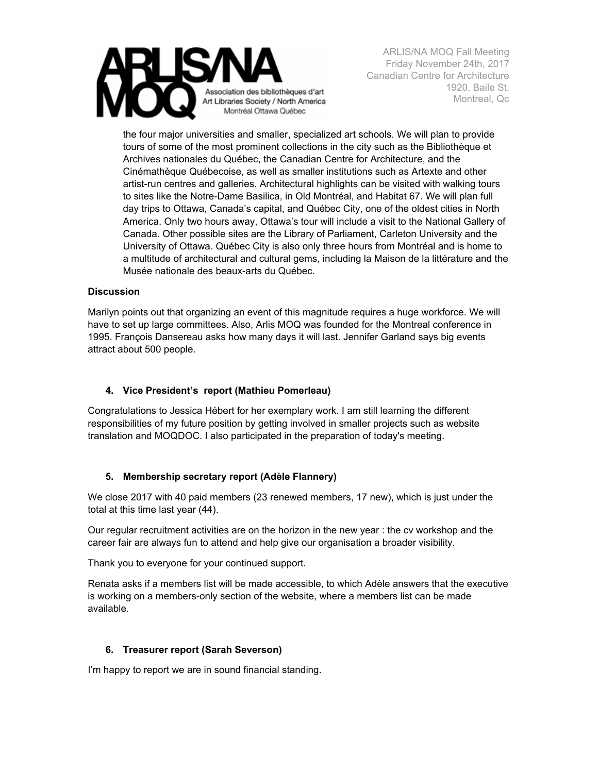

the four major universities and smaller, specialized art schools. We will plan to provide tours of some of the most prominent collections in the city such as the Bibliothèque et Archives nationales du Québec, the Canadian Centre for Architecture, and the Cinémathèque Québecoise, as well as smaller institutions such as Artexte and other artist-run centres and galleries. Architectural highlights can be visited with walking tours to sites like the Notre-Dame Basilica, in Old Montréal, and Habitat 67. We will plan full day trips to Ottawa, Canada's capital, and Québec City, one of the oldest cities in North America. Only two hours away, Ottawa's tour will include a visit to the National Gallery of Canada. Other possible sites are the Library of Parliament, Carleton University and the University of Ottawa. Québec City is also only three hours from Montréal and is home to a multitude of architectural and cultural gems, including la Maison de la littérature and the Musée nationale des beaux-arts du Québec.

### **Discussion**

Marilyn points out that organizing an event of this magnitude requires a huge workforce. We will have to set up large committees. Also, Arlis MOQ was founded for the Montreal conference in 1995. François Dansereau asks how many days it will last. Jennifer Garland says big events attract about 500 people.

# **4. Vice President's report (Mathieu Pomerleau)**

Congratulations to Jessica Hébert for her exemplary work. I am still learning the different responsibilities of my future position by getting involved in smaller projects such as website translation and MOQDOC. I also participated in the preparation of today's meeting.

# **5. Membership secretary report (Adèle Flannery)**

We close 2017 with 40 paid members (23 renewed members, 17 new), which is just under the total at this time last year (44).

Our regular recruitment activities are on the horizon in the new year : the cv workshop and the career fair are always fun to attend and help give our organisation a broader visibility.

Thank you to everyone for your continued support.

Renata asks if a members list will be made accessible, to which Adèle answers that the executive is working on a members-only section of the website, where a members list can be made available.

### **6. Treasurer report (Sarah Severson)**

I'm happy to report we are in sound financial standing.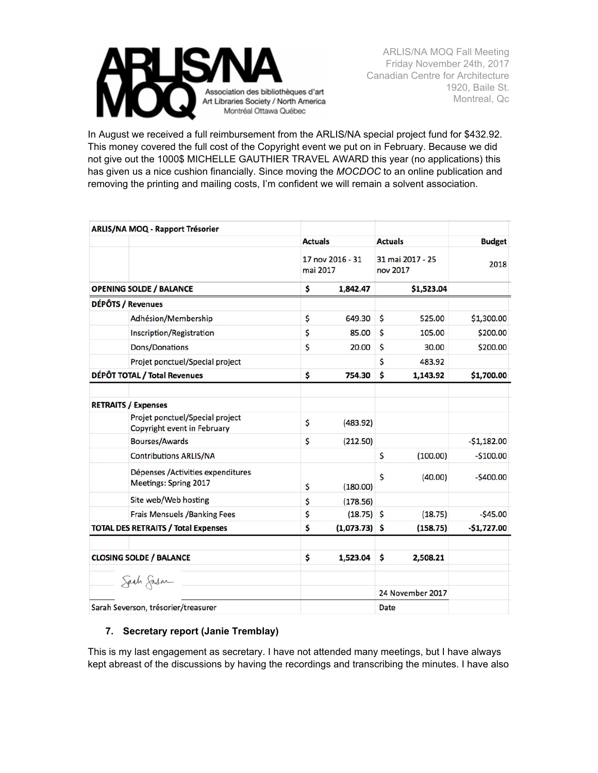

In August we received a full reimbursement from the ARLIS/NA special project fund for \$432.92. This money covered the full cost of the Copyright event we put on in February. Because we did not give out the 1000\$ MICHELLE GAUTHIER TRAVEL AWARD this year (no applications) this has given us a nice cushion financially. Since moving the *MOCDOC* to an online publication and removing the printing and mailing costs, I'm confident we will remain a solvent association.

|                                            | <b>ARLIS/NA MOQ - Rapport Trésorier</b>                        |                              |                 |                              |                  |               |
|--------------------------------------------|----------------------------------------------------------------|------------------------------|-----------------|------------------------------|------------------|---------------|
|                                            |                                                                | <b>Actuals</b>               |                 | <b>Actuals</b>               |                  | <b>Budget</b> |
|                                            |                                                                | 17 nov 2016 - 31<br>mai 2017 |                 | 31 mai 2017 - 25<br>nov 2017 |                  | 2018          |
| <b>OPENING SOLDE / BALANCE</b>             |                                                                | \$                           | 1,842.47        |                              | \$1,523.04       |               |
|                                            | DÉPÔTS / Revenues                                              |                              |                 |                              |                  |               |
|                                            | Adhésion/Membership                                            | \$                           | 649.30          | \$                           | 525.00           | \$1,300.00    |
|                                            | Inscription/Registration                                       | \$                           | 85.00           | \$                           | 105.00           | \$200.00      |
|                                            | Dons/Donations                                                 | \$                           | 20.00           | \$                           | 30.00            | \$200.00      |
|                                            | Projet ponctuel/Special project                                |                              |                 | \$                           | 483.92           |               |
| DÉPÔT TOTAL / Total Revenues               |                                                                | \$                           | 754.30          | \$                           | 1,143.92         | \$1,700.00    |
|                                            | <b>RETRAITS / Expenses</b>                                     |                              |                 |                              |                  |               |
|                                            | Projet ponctuel/Special project<br>Copyright event in February | \$                           | (483.92)        |                              |                  |               |
|                                            | <b>Bourses/Awards</b>                                          | \$                           | (212.50)        |                              |                  | $-51,182.00$  |
|                                            | <b>Contributions ARLIS/NA</b>                                  |                              |                 | \$                           | (100.00)         | $-$100.00$    |
|                                            | Dépenses /Activities expenditures<br>Meetings: Spring 2017     | \$                           | (180.00)        | \$                           | (40.00)          | $-5400.00$    |
|                                            | Site web/Web hosting                                           | \$                           | (178.56)        |                              |                  |               |
|                                            | Frais Mensuels / Banking Fees                                  | \$                           | $(18.75)$ \$    |                              | (18.75)          | $-545.00$     |
| <b>TOTAL DES RETRAITS / Total Expenses</b> |                                                                | \$                           | $(1,073.73)$ \$ |                              | (158.75)         | $-$1,727.00$  |
| <b>CLOSING SOLDE / BALANCE</b>             |                                                                | \$                           | 1,523.04        | \$                           | 2,508.21         |               |
|                                            | Sach Sason                                                     |                              |                 |                              | 24 November 2017 |               |
| Sarah Severson, trésorier/treasurer        |                                                                |                              |                 | Date                         |                  |               |
|                                            |                                                                |                              |                 |                              |                  |               |

# **7. Secretary report (Janie Tremblay)**

This is my last engagement as secretary. I have not attended many meetings, but I have always kept abreast of the discussions by having the recordings and transcribing the minutes. I have also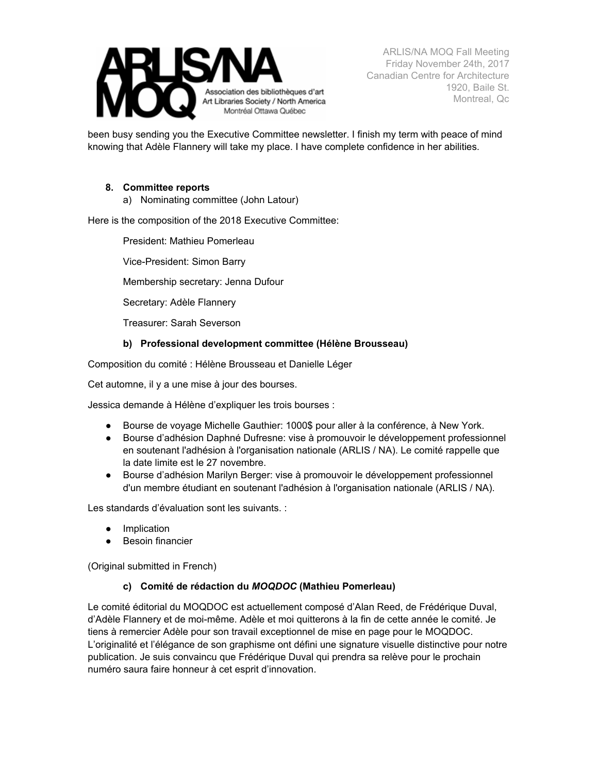

been busy sending you the Executive Committee newsletter. I finish my term with peace of mind knowing that Adèle Flannery will take my place. I have complete confidence in her abilities.

### **8. Committee reports**

a) Nominating committee (John Latour)

Here is the composition of the 2018 Executive Committee:

President: Mathieu Pomerleau

Vice-President: Simon Barry

Membership secretary: Jenna Dufour

Secretary: Adèle Flannery

Treasurer: Sarah Severson

### **b) Professional development committee (Hélène Brousseau)**

Composition du comité : Hélène Brousseau et Danielle Léger

Cet automne, il y a une mise à jour des bourses.

Jessica demande à Hélène d'expliquer les trois bourses :

- Bourse de voyage Michelle Gauthier: 1000\$ pour aller à la conférence, à New York.
- Bourse d'adhésion Daphné Dufresne: vise à promouvoir le développement professionnel en soutenant l'adhésion à l'organisation nationale (ARLIS / NA). Le comité rappelle que la date limite est le 27 novembre.
- Bourse d'adhésion Marilyn Berger: vise à promouvoir le développement professionnel d'un membre étudiant en soutenant l'adhésion à l'organisation nationale (ARLIS / NA).

Les standards d'évaluation sont les suivants. :

- Implication
- Besoin financier

(Original submitted in French)

### **c) Comité de rédaction du** *MOQDOC* **(Mathieu Pomerleau)**

Le comité éditorial du MOQDOC est actuellement composé d'Alan Reed, de Frédérique Duval, d'Adèle Flannery et de moi-même. Adèle et moi quitterons à la fin de cette année le comité. Je tiens à remercier Adèle pour son travail exceptionnel de mise en page pour le MOQDOC. L'originalité et l'élégance de son graphisme ont défini une signature visuelle distinctive pour notre publication. Je suis convaincu que Frédérique Duval qui prendra sa relève pour le prochain numéro saura faire honneur à cet esprit d'innovation.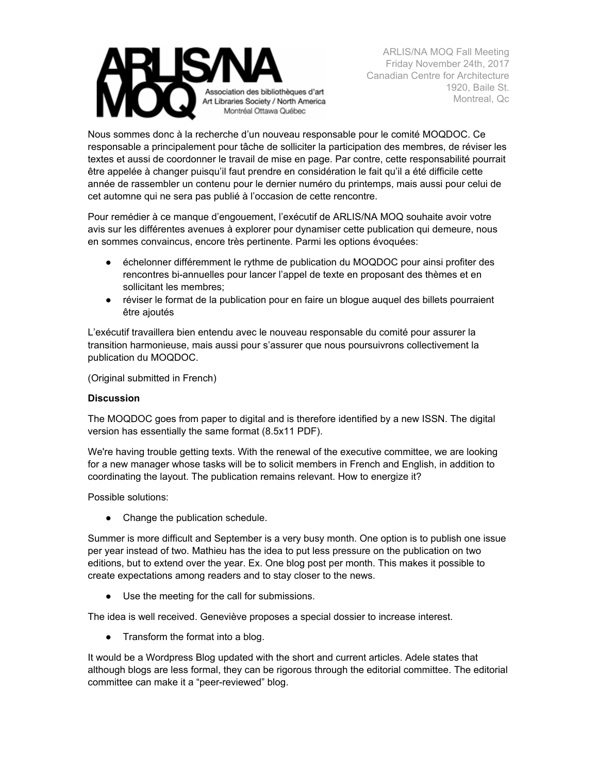

Nous sommes donc à la recherche d'un nouveau responsable pour le comité MOQDOC. Ce responsable a principalement pour tâche de solliciter la participation des membres, de réviser les textes et aussi de coordonner le travail de mise en page. Par contre, cette responsabilité pourrait être appelée à changer puisqu'il faut prendre en considération le fait qu'il a été difficile cette année de rassembler un contenu pour le dernier numéro du printemps, mais aussi pour celui de cet automne qui ne sera pas publié à l'occasion de cette rencontre.

Pour remédier à ce manque d'engouement, l'exécutif de ARLIS/NA MOQ souhaite avoir votre avis sur les différentes avenues à explorer pour dynamiser cette publication qui demeure, nous en sommes convaincus, encore très pertinente. Parmi les options évoquées:

- échelonner différemment le rythme de publication du MOQDOC pour ainsi profiter des rencontres bi-annuelles pour lancer l'appel de texte en proposant des thèmes et en sollicitant les membres;
- réviser le format de la publication pour en faire un blogue auquel des billets pourraient être ajoutés

L'exécutif travaillera bien entendu avec le nouveau responsable du comité pour assurer la transition harmonieuse, mais aussi pour s'assurer que nous poursuivrons collectivement la publication du MOQDOC.

(Original submitted in French)

# **Discussion**

The MOQDOC goes from paper to digital and is therefore identified by a new ISSN. The digital version has essentially the same format (8.5x11 PDF).

We're having trouble getting texts. With the renewal of the executive committee, we are looking for a new manager whose tasks will be to solicit members in French and English, in addition to coordinating the layout. The publication remains relevant. How to energize it?

Possible solutions:

• Change the publication schedule.

Summer is more difficult and September is a very busy month. One option is to publish one issue per year instead of two. Mathieu has the idea to put less pressure on the publication on two editions, but to extend over the year. Ex. One blog post per month. This makes it possible to create expectations among readers and to stay closer to the news.

● Use the meeting for the call for submissions.

The idea is well received. Geneviève proposes a special dossier to increase interest.

• Transform the format into a blog.

It would be a Wordpress Blog updated with the short and current articles. Adele states that although blogs are less formal, they can be rigorous through the editorial committee. The editorial committee can make it a "peer-reviewed" blog.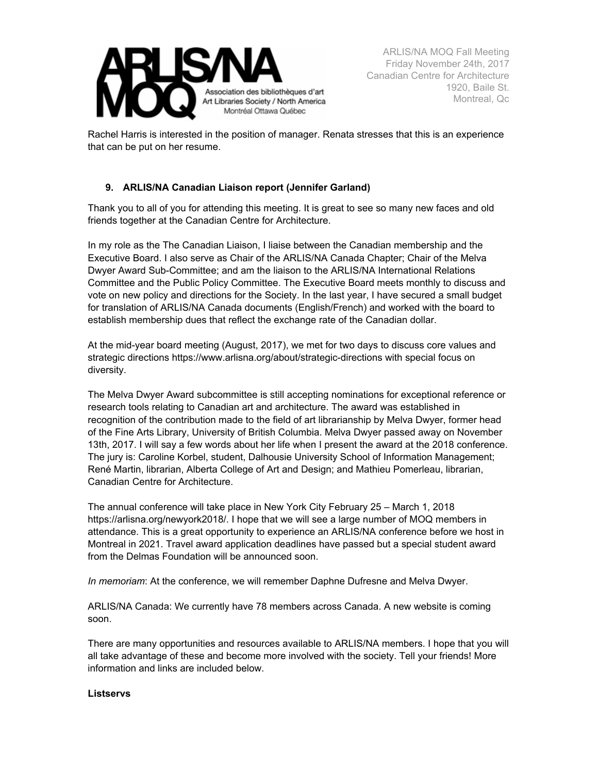

Rachel Harris is interested in the position of manager. Renata stresses that this is an experience that can be put on her resume.

# **9. ARLIS/NA Canadian Liaison report (Jennifer Garland)**

Thank you to all of you for attending this meeting. It is great to see so many new faces and old friends together at the Canadian Centre for Architecture.

In my role as the The Canadian Liaison, I liaise between the Canadian membership and the Executive Board. I also serve as Chair of the ARLIS/NA Canada Chapter; Chair of the Melva Dwyer Award Sub-Committee; and am the liaison to the ARLIS/NA International Relations Committee and the Public Policy Committee. The Executive Board meets monthly to discuss and vote on new policy and directions for the Society. In the last year, I have secured a small budget for translation of ARLIS/NA Canada documents (English/French) and worked with the board to establish membership dues that reflect the exchange rate of the Canadian dollar.

At the mid-year board meeting (August, 2017), we met for two days to discuss core values and strategic directions https://www.arlisna.org/about/strategic-directions with special focus on diversity.

The Melva Dwyer Award subcommittee is still accepting nominations for exceptional reference or research tools relating to Canadian art and architecture. The award was established in recognition of the contribution made to the field of art librarianship by Melva Dwyer, former head of the Fine Arts Library, University of British Columbia. Melva Dwyer passed away on November 13th, 2017. I will say a few words about her life when I present the award at the 2018 conference. The jury is: Caroline Korbel, student, Dalhousie University School of Information Management; René Martin, librarian, Alberta College of Art and Design; and Mathieu Pomerleau, librarian, Canadian Centre for Architecture.

The annual conference will take place in New York City February 25 – March 1, 2018 https://arlisna.org/newyork2018/. I hope that we will see a large number of MOQ members in attendance. This is a great opportunity to experience an ARLIS/NA conference before we host in Montreal in 2021. Travel award application deadlines have passed but a special student award from the Delmas Foundation will be announced soon.

*In memoriam*: At the conference, we will remember Daphne Dufresne and Melva Dwyer.

ARLIS/NA Canada: We currently have 78 members across Canada. A new website is coming soon.

There are many opportunities and resources available to ARLIS/NA members. I hope that you will all take advantage of these and become more involved with the society. Tell your friends! More information and links are included below.

### **Listservs**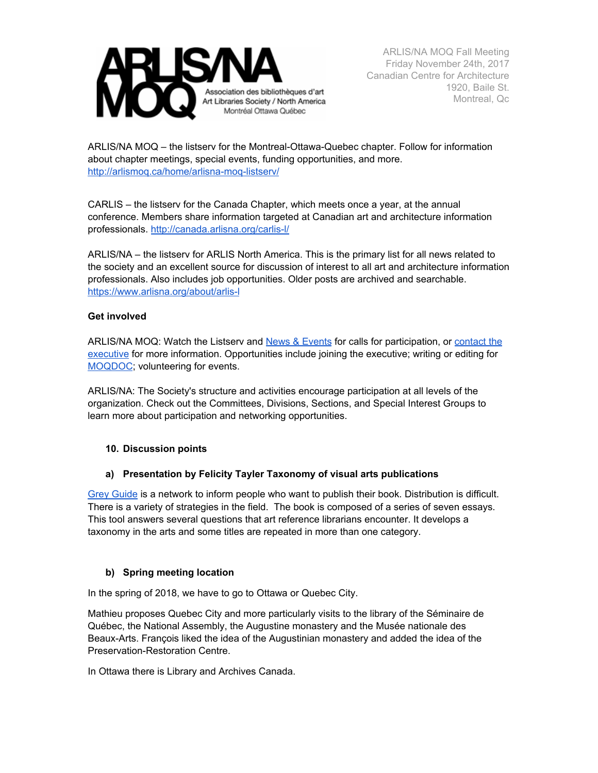

ARLIS/NA MOQ – the listserv for the Montreal-Ottawa-Quebec chapter. Follow for information about chapter meetings, special events, funding opportunities, and more. <http://arlismoq.ca/home/arlisna-moq-listserv/>

CARLIS – the listserv for the Canada Chapter, which meets once a year, at the annual conference. Members share information targeted at Canadian art and architecture information professionals. <http://canada.arlisna.org/carlis-l/>

ARLIS/NA – the listserv for ARLIS North America. This is the primary list for all news related to the society and an excellent source for discussion of interest to all art and architecture information professionals. Also includes job opportunities. Older posts are archived and searchable. <https://www.arlisna.org/about/arlis-l>

### **Get involved**

ARLIS/NA MOQ: Watch the Listserv and News & [Events](http://arlismoq.ca/news-events/) for calls for participation, or [contact](http://arlismoq.ca/about-us/) the [executive](http://arlismoq.ca/about-us/) for more information. Opportunities include joining the executive; writing or editing for [MOQDOC](http://arlismoq.ca/moqdoc/); volunteering for events.

ARLIS/NA: The Society's structure and activities encourage participation at all levels of the organization. Check out the Committees, Divisions, Sections, and Special Interest Groups to learn more about participation and networking opportunities.

### **10. Discussion points**

### **a) Presentation by Felicity Tayler Taxonomy of visual arts publications**

Grey [Guide](http://www.arca.art/en/resources/the-grey-guide-in-print/) is a network to inform people who want to publish their book. Distribution is difficult. There is a variety of strategies in the field. The book is composed of a series of seven essays. This tool answers several questions that art reference librarians encounter. It develops a taxonomy in the arts and some titles are repeated in more than one category.

### **b) Spring meeting location**

In the spring of 2018, we have to go to Ottawa or Quebec City.

Mathieu proposes Quebec City and more particularly visits to the library of the Séminaire de Québec, the National Assembly, the Augustine monastery and the Musée nationale des Beaux-Arts. François liked the idea of the Augustinian monastery and added the idea of the Preservation-Restoration Centre.

In Ottawa there is Library and Archives Canada.